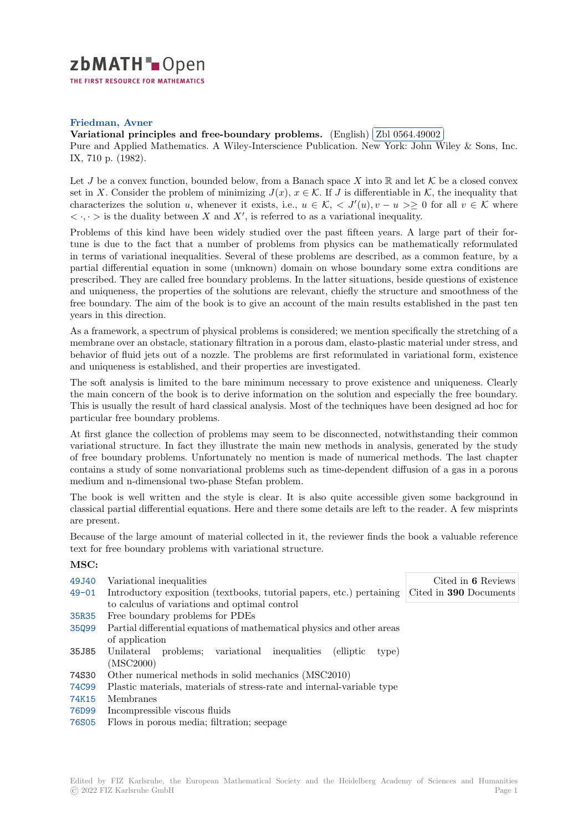

## **Friedman, Avner**

## **[V](https://zbmath.org/)ariational principles and free-boundary problems.** (English) ✄ Zbl 0564.49002 i.

Variational principles and rice-boundary problems. (English) (251 6664.45662)<br>Pure and Applied Mathematics. A Wiley-Interscience Publication. New York: John Wiley & Sons, Inc. IX, 710 p. (1982).

Let *J* [be a convex function, bounded below, from a Banach](https://zbmath.org/0564.49002) space X into  $\mathbb R$  [and let](https://zbmath.org/0564.49002)  $\mathcal K$  be a closed convex set in *X*. Consider the problem of minimizing  $J(x)$ ,  $x \in \mathcal{K}$ . If *J* is differentiable in  $\mathcal{K}$ , the inequality that characterizes the solution *u*, whenever it exists, i.e.,  $u \in \mathcal{K}$ ,  $\langle J'(u), v - u \rangle \geq 0$  for all  $v \in \mathcal{K}$  where  $\langle \cdot, \cdot \rangle$  is the duality between *X* and *X*<sup>*'*</sup>, is referred to as a variational inequality.

Problems of this kind have been widely studied over the past fifteen years. A large part of their fortune is due to the fact that a number of problems from physics can be mathematically reformulated in terms of variational inequalities. Several of these problems are described, as a common feature, by a partial differential equation in some (unknown) domain on whose boundary some extra conditions are prescribed. They are called free boundary problems. In the latter situations, beside questions of existence and uniqueness, the properties of the solutions are relevant, chiefly the structure and smoothness of the free boundary. The aim of the book is to give an account of the main results established in the past ten years in this direction.

As a framework, a spectrum of physical problems is considered; we mention specifically the stretching of a membrane over an obstacle, stationary filtration in a porous dam, elasto-plastic material under stress, and behavior of fluid jets out of a nozzle. The problems are first reformulated in variational form, existence and uniqueness is established, and their properties are investigated.

The soft analysis is limited to the bare minimum necessary to prove existence and uniqueness. Clearly the main concern of the book is to derive information on the solution and especially the free boundary. This is usually the result of hard classical analysis. Most of the techniques have been designed ad hoc for particular free boundary problems.

At first glance the collection of problems may seem to be disconnected, notwithstanding their common variational structure. In fact they illustrate the main new methods in analysis, generated by the study of free boundary problems. Unfortunately no mention is made of numerical methods. The last chapter contains a study of some nonvariational problems such as time-dependent diffusion of a gas in a porous medium and n-dimensional two-phase Stefan problem.

The book is well written and the style is clear. It is also quite accessible given some background in classical partial differential equations. Here and there some details are left to the reader. A few misprints are present.

Because of the large amount of material collected in it, the reviewer finds the book a valuable reference text for free boundary problems with variational structure.

## **MSC:**

| Variational inequalities                                                | Cited in 6 Reviews                                                                                                     |
|-------------------------------------------------------------------------|------------------------------------------------------------------------------------------------------------------------|
|                                                                         | Cited in <b>390</b> Documents                                                                                          |
|                                                                         |                                                                                                                        |
| Free boundary problems for PDEs                                         |                                                                                                                        |
| Partial differential equations of mathematical physics and other areas  |                                                                                                                        |
| of application                                                          |                                                                                                                        |
| Unilateral problems;<br>variational inequalities<br>(elliptic)<br>type) |                                                                                                                        |
| (MSC2000)                                                               |                                                                                                                        |
| Other numerical methods in solid mechanics (MSC2010)                    |                                                                                                                        |
| Plastic materials, materials of stress-rate and internal-variable type  |                                                                                                                        |
| Membranes                                                               |                                                                                                                        |
| Incompressible viscous fluids                                           |                                                                                                                        |
| Flows in porous media; filtration; seepage                              |                                                                                                                        |
|                                                                         | Introductory exposition (textbooks, tutorial papers, etc.) pertaining<br>to calculus of variations and optimal control |